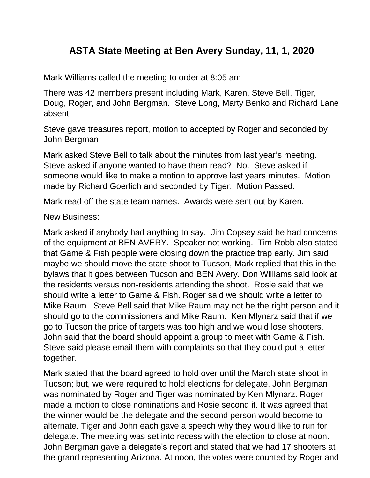## **ASTA State Meeting at Ben Avery Sunday, 11, 1, 2020**

Mark Williams called the meeting to order at 8:05 am

There was 42 members present including Mark, Karen, Steve Bell, Tiger, Doug, Roger, and John Bergman. Steve Long, Marty Benko and Richard Lane absent.

Steve gave treasures report, motion to accepted by Roger and seconded by John Bergman

Mark asked Steve Bell to talk about the minutes from last year's meeting. Steve asked if anyone wanted to have them read? No. Steve asked if someone would like to make a motion to approve last years minutes. Motion made by Richard Goerlich and seconded by Tiger. Motion Passed.

Mark read off the state team names. Awards were sent out by Karen.

New Business:

Mark asked if anybody had anything to say. Jim Copsey said he had concerns of the equipment at BEN AVERY. Speaker not working. Tim Robb also stated that Game & Fish people were closing down the practice trap early. Jim said maybe we should move the state shoot to Tucson, Mark replied that this in the bylaws that it goes between Tucson and BEN Avery. Don Williams said look at the residents versus non-residents attending the shoot. Rosie said that we should write a letter to Game & Fish. Roger said we should write a letter to Mike Raum. Steve Bell said that Mike Raum may not be the right person and it should go to the commissioners and Mike Raum. Ken Mlynarz said that if we go to Tucson the price of targets was too high and we would lose shooters. John said that the board should appoint a group to meet with Game & Fish. Steve said please email them with complaints so that they could put a letter together.

Mark stated that the board agreed to hold over until the March state shoot in Tucson; but, we were required to hold elections for delegate. John Bergman was nominated by Roger and Tiger was nominated by Ken Mlynarz. Roger made a motion to close nominations and Rosie second it. It was agreed that the winner would be the delegate and the second person would become to alternate. Tiger and John each gave a speech why they would like to run for delegate. The meeting was set into recess with the election to close at noon. John Bergman gave a delegate's report and stated that we had 17 shooters at the grand representing Arizona. At noon, the votes were counted by Roger and